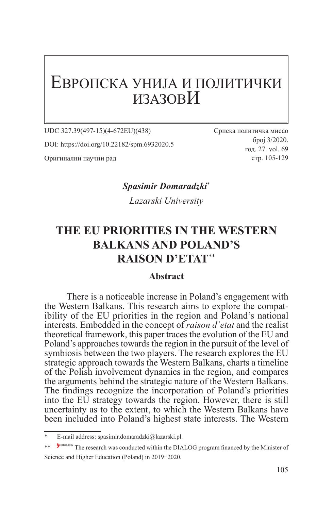# ЕВРОПСКА УНИЈА И ПОЛИТИЧКИ ИЗАЗОВИ

UDC 327.39(497-15)(4-672ЕU)(438)

DOI: https://doi.org/10.22182/spm.6932020.5

Оригинални научни рад

Српска политичка мисао број 3/2020. год. 27. vol. 69 стр. 105-129

*Spasimir Domaradzki*\* 2

*Lazarski University*

# **THE EU PRIORITIES IN THE WESTERN BALKANS AND POLAND'S RAISON D'ETAT**\*\*<sup>3</sup>

#### **Abstract**

There is a noticeable increase in Poland's engagement with the Western Balkans. This research aims to explore the compatibility of the EU priorities in the region and Poland's national interests. Embedded in the concept of *raison d'etat* and the realist theoretical framework, this paper traces the evolution of the EU and Poland's approaches towards the region in the pursuit of the level of symbiosis between the two players. The research explores the EU strategic approach towards the Western Balkans, charts a timeline of the Polish involvement dynamics in the region, and compares the arguments behind the strategic nature of the Western Balkans. The findings recognize the incorporation of Poland's priorities into the EU strategy towards the region. However, there is still uncertainty as to the extent, to which the Western Balkans have been included into Poland's highest state interests. The Western

E-mail address: spasimir.domaradzki@lazarski.pl.

<sup>\*\*</sup> P<sup>OIALOG</sup> The research was conducted within the DIALOG program financed by the Minister of Science and Higher Education (Poland) in 2019−2020.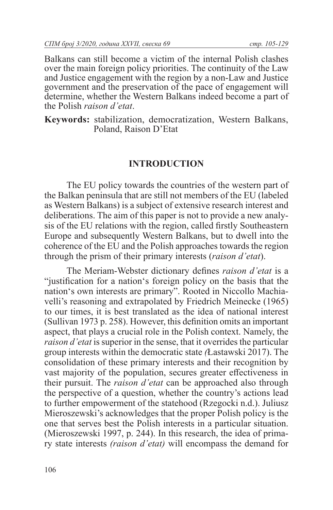Balkans can still become a victim of the internal Polish clashes over the main foreign policy priorities. The continuity of the Law and Justice engagement with the region by a non-Law and Justice government and the preservation of the pace of engagement will determine, whether the Western Balkans indeed become a part of the Polish *raison d'etat*.

**Keywords:** stabilization, democratization, Western Balkans, Poland, Raison D'Etat

#### **INTRODUCTION**

The EU policy towards the countries of the western part of the Balkan peninsula that are still not members of the EU (labeled as Western Balkans) is a subject of extensive research interest and deliberations. The aim of this paper is not to provide a new analysis of the EU relations with the region, called firstly Southeastern Europe and subsequently Western Balkans, but to dwell into the coherence of the EU and the Polish approaches towards the region through the prism of their primary interests (*raison d'etat*).

The Meriam-Webster dictionary defines *raison d'etat* is a "justification for a nation's foreign policy on the basis that the nation's own interests are primary". Rooted in Niccollo Machiavelli's reasoning and extrapolated by Friedrich Meinecke (1965) to our times, it is best translated as the idea of national interest (Sullivan 1973 p. 258). However, this definition omits an important aspect, that plays a crucial role in the Polish context. Namely, the *raison d'etat* is superior in the sense, that it overrides the particular group interests within the democratic state *(*Łastawski 2017). The consolidation of these primary interests and their recognition by vast majority of the population, secures greater effectiveness in their pursuit. The *raison d'etat* can be approached also through the perspective of a question, whether the country's actions lead to further empowerment of the statehood (Rzegocki n.d.). Juliusz Mieroszewski's acknowledges that the proper Polish policy is the one that serves best the Polish interests in a particular situation. (Mieroszewski 1997, p. 244). In this research, the idea of primary state interests *(raison d'etat)* will encompass the demand for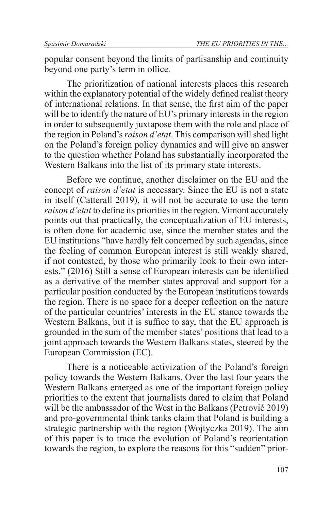popular consent beyond the limits of partisanship and continuity beyond one party's term in office*.*

The prioritization of national interests places this research within the explanatory potential of the widely defined realist theory of international relations. In that sense, the first aim of the paper will be to identify the nature of EU's primary interests in the region in order to subsequently juxtapose them with the role and place of the region in Poland's *raison d'etat*. This comparison will shed light on the Poland's foreign policy dynamics and will give an answer to the question whether Poland has substantially incorporated the Western Balkans into the list of its primary state interests.

Before we continue, another disclaimer on the EU and the concept of *raison d'etat* is necessary. Since the EU is not a state in itself (Catterall 2019), it will not be accurate to use the term *raison d'etat* to define its priorities in the region. Vimont accurately points out that practically, the conceptualization of EU interests, is often done for academic use, since the member states and the EU institutions "have hardly felt concerned by such agendas, since the feeling of common European interest is still weakly shared, if not contested, by those who primarily look to their own interests." (2016) Still a sense of European interests can be identified as a derivative of the member states approval and support for a particular position conducted by the European institutions towards the region. There is no space for a deeper reflection on the nature of the particular countries' interests in the EU stance towards the Western Balkans, but it is suffice to say, that the EU approach is grounded in the sum of the member states' positions that lead to a joint approach towards the Western Balkans states, steered by the European Commission (EC).

There is a noticeable activization of the Poland's foreign policy towards the Western Balkans. Over the last four years the Western Balkans emerged as one of the important foreign policy priorities to the extent that journalists dared to claim that Poland will be the ambassador of the West in the Balkans (Petrović 2019) and pro-governmental think tanks claim that Poland is building a strategic partnership with the region (Wojtyczka 2019). The aim of this paper is to trace the evolution of Poland's reorientation towards the region, to explore the reasons for this "sudden" prior-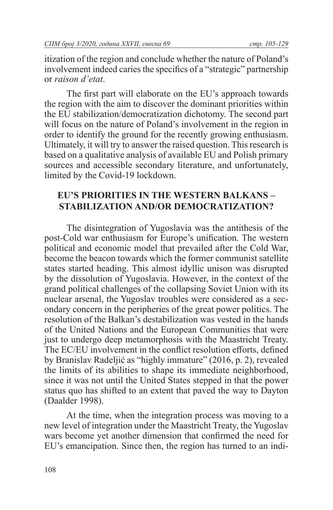itization of the region and conclude whether the nature of Poland's involvement indeed caries the specifics of a "strategic" partnership or *raison d'etat*.

The first part will elaborate on the EU's approach towards the region with the aim to discover the dominant priorities within the EU stabilization/democratization dichotomy. The second part will focus on the nature of Poland's involvement in the region in order to identify the ground for the recently growing enthusiasm. Ultimately, it will try to answer the raised question. This research is based on a qualitative analysis of available EU and Polish primary sources and accessible secondary literature, and unfortunately, limited by the Covid-19 lockdown.

### **EU'S PRIORITIES IN THE WESTERN BALKANS – STABILIZATION AND/OR DEMOCRATIZATION?**

The disintegration of Yugoslavia was the antithesis of the post-Cold war enthusiasm for Europe's unification. The western political and economic model that prevailed after the Cold War, become the beacon towards which the former communist satellite states started heading. This almost idyllic unison was disrupted by the dissolution of Yugoslavia. However, in the context of the grand political challenges of the collapsing Soviet Union with its nuclear arsenal, the Yugoslav troubles were considered as a secondary concern in the peripheries of the great power politics. The resolution of the Balkan's destabilization was vested in the hands of the United Nations and the European Communities that were just to undergo deep metamorphosis with the Maastricht Treaty. The EC/EU involvement in the conflict resolution efforts, defined by Branislav Radeljić as "highly immature" (2016, p. 2), revealed the limits of its abilities to shape its immediate neighborhood, since it was not until the United States stepped in that the power status quo has shifted to an extent that paved the way to Dayton (Daalder 1998).

At the time, when the integration process was moving to a new level of integration under the Maastricht Treaty, the Yugoslav wars become yet another dimension that confirmed the need for EU's emancipation. Since then, the region has turned to an indi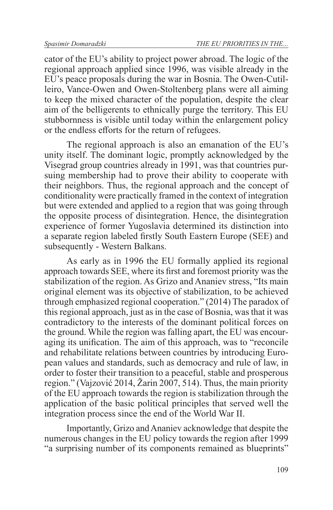cator of the EU's ability to project power abroad. The logic of the regional approach applied since 1996, was visible already in the EU's peace proposals during the war in Bosnia. The Owen-Cutilleiro, Vance-Owen and Owen-Stoltenberg plans were all aiming to keep the mixed character of the population, despite the clear aim of the belligerents to ethnically purge the territory. This EU stubbornness is visible until today within the enlargement policy or the endless efforts for the return of refugees.

The regional approach is also an emanation of the EU's unity itself. The dominant logic, promptly acknowledged by the Visegrad group countries already in 1991, was that countries pursuing membership had to prove their ability to cooperate with their neighbors. Thus, the regional approach and the concept of conditionality were practically framed in the context of integration but were extended and applied to a region that was going through the opposite process of disintegration. Hence, the disintegration experience of former Yugoslavia determined its distinction into a separate region labeled firstly South Eastern Europe (SEE) and subsequently - Western Balkans.

As early as in 1996 the EU formally applied its regional approach towards SEE, where its first and foremost priority was the stabilization of the region. As Grizo and Ananiev stress, "Its main original element was its objective of stabilization, to be achieved through emphasized regional cooperation." (2014) The paradox of this regional approach, just as in the case of Bosnia, was that it was contradictory to the interests of the dominant political forces on the ground. While the region was falling apart, the EU was encouraging its unification. The aim of this approach, was to "reconcile and rehabilitate relations between countries by introducing European values and standards, such as democracy and rule of law, in order to foster their transition to a peaceful, stable and prosperous region." (Vajzović 2014, Žarin 2007, 514). Thus, the main priority of the EU approach towards the region is stabilization through the application of the basic political principles that served well the integration process since the end of the World War II.

Importantly, Grizo and Ananiev acknowledge that despite the numerous changes in the EU policy towards the region after 1999 "a surprising number of its components remained as blueprints"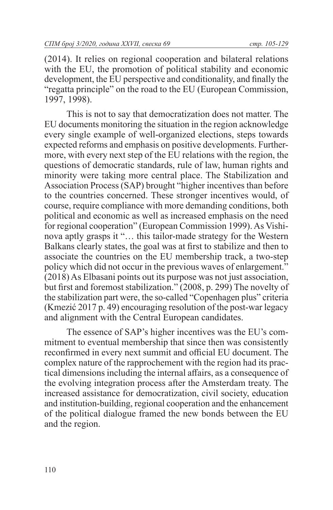(2014). It relies on regional cooperation and bilateral relations with the EU, the promotion of political stability and economic development, the EU perspective and conditionality, and finally the "regatta principle" on the road to the EU (European Commission, 1997, 1998).

This is not to say that democratization does not matter. The EU documents monitoring the situation in the region acknowledge every single example of well-organized elections, steps towards expected reforms and emphasis on positive developments. Furthermore, with every next step of the EU relations with the region, the questions of democratic standards, rule of law, human rights and minority were taking more central place. The Stabilization and Association Process (SAP) brought "higher incentives than before to the countries concerned. These stronger incentives would, of course, require compliance with more demanding conditions, both political and economic as well as increased emphasis on the need for regional cooperation" (European Commission 1999). As Vishinova aptly grasps it "… this tailor-made strategy for the Western Balkans clearly states, the goal was at first to stabilize and then to associate the countries on the EU membership track, a two-step policy which did not occur in the previous waves of enlargement." (2018) As Elbasani points out its purpose was not just association, but first and foremost stabilization." (2008, p. 299) The novelty of the stabilization part were, the so-called "Copenhagen plus" criteria (Kmezić 2017 p. 49) encouraging resolution of the post-war legacy and alignment with the Central European candidates.

The essence of SAP's higher incentives was the EU's commitment to eventual membership that since then was consistently reconfirmed in every next summit and official EU document. The complex nature of the rapprochement with the region had its practical dimensions including the internal affairs, as a consequence of the evolving integration process after the Amsterdam treaty. The increased assistance for democratization, civil society, education and institution-building, regional cooperation and the enhancement of the political dialogue framed the new bonds between the EU and the region.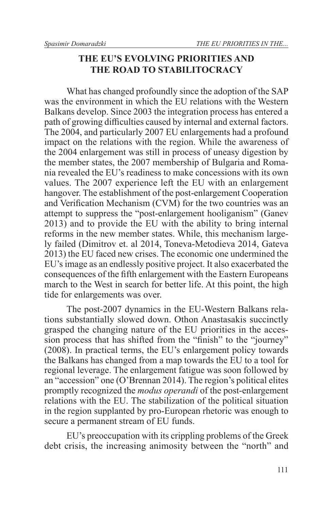### **THE EU'S EVOLVING PRIORITIES AND THE ROAD TO STABILITOCRACY**

What has changed profoundly since the adoption of the SAP was the environment in which the EU relations with the Western Balkans develop. Since 2003 the integration process has entered a path of growing difficulties caused by internal and external factors. The 2004, and particularly 2007 EU enlargements had a profound impact on the relations with the region. While the awareness of the 2004 enlargement was still in process of uneasy digestion by the member states, the 2007 membership of Bulgaria and Romania revealed the EU's readiness to make concessions with its own values. The 2007 experience left the EU with an enlargement hangover. The establishment of the post-enlargement Cooperation and Verification Mechanism (CVM) for the two countries was an attempt to suppress the "post-enlargement hooliganism" (Ganev 2013) and to provide the EU with the ability to bring internal reforms in the new member states. While, this mechanism largely failed (Dimitrov et. al 2014, Toneva-Metodieva 2014, Gateva 2013) the EU faced new crises. The economic one undermined the EU's image as an endlessly positive project. It also exacerbated the consequences of the fifth enlargement with the Eastern Europeans march to the West in search for better life. At this point, the high tide for enlargements was over.

The post-2007 dynamics in the EU-Western Balkans relations substantially slowed down. Othon Anastasakis succinctly grasped the changing nature of the EU priorities in the accession process that has shifted from the "finish" to the "journey" (2008). In practical terms, the EU's enlargement policy towards the Balkans has changed from a map towards the EU to a tool for regional leverage. The enlargement fatigue was soon followed by an "accession" one (O'Brennan 2014). The region's political elites promptly recognized the *modus operandi* of the post-enlargement relations with the EU. The stabilization of the political situation in the region supplanted by pro-European rhetoric was enough to secure a permanent stream of EU funds.

EU's preoccupation with its crippling problems of the Greek debt crisis, the increasing animosity between the "north" and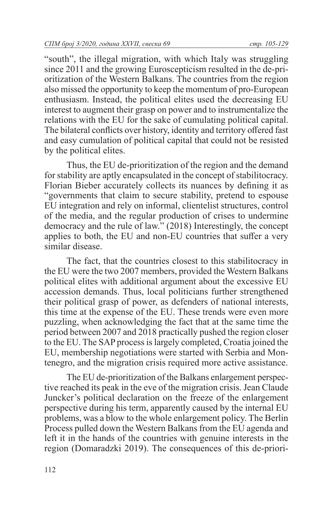"south", the illegal migration, with which Italy was struggling since 2011 and the growing Euroscepticism resulted in the de-prioritization of the Western Balkans. The countries from the region also missed the opportunity to keep the momentum of pro-European enthusiasm. Instead, the political elites used the decreasing EU interest to augment their grasp on power and to instrumentalize the relations with the EU for the sake of cumulating political capital. The bilateral conflicts over history, identity and territory offered fast and easy cumulation of political capital that could not be resisted by the political elites.

Thus, the EU de-prioritization of the region and the demand for stability are aptly encapsulated in the concept of stabilitocracy. Florian Bieber accurately collects its nuances by defining it as "governments that claim to secure stability, pretend to espouse EU integration and rely on informal, clientelist structures, control of the media, and the regular production of crises to undermine democracy and the rule of law." (2018) Interestingly, the concept applies to both, the EU and non-EU countries that suffer a very similar disease.

The fact, that the countries closest to this stabilitocracy in the EU were the two 2007 members, provided the Western Balkans political elites with additional argument about the excessive EU accession demands. Thus, local politicians further strengthened their political grasp of power, as defenders of national interests, this time at the expense of the EU. These trends were even more puzzling, when acknowledging the fact that at the same time the period between 2007 and 2018 practically pushed the region closer to the EU. The SAP process is largely completed, Croatia joined the EU, membership negotiations were started with Serbia and Montenegro, and the migration crisis required more active assistance.

The EU de-prioritization of the Balkans enlargement perspective reached its peak in the eve of the migration crisis. Jean Claude Juncker's political declaration on the freeze of the enlargement perspective during his term, apparently caused by the internal EU problems, was a blow to the whole enlargement policy. The Berlin Process pulled down the Western Balkans from the EU agenda and left it in the hands of the countries with genuine interests in the region (Domaradzki 2019). The consequences of this de-priori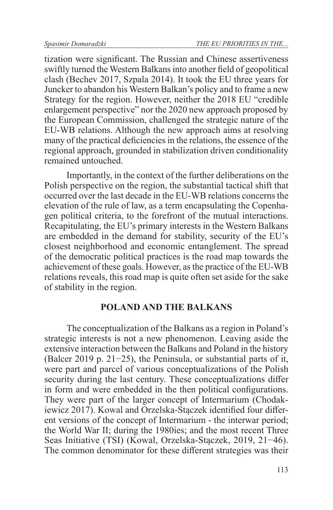tization were significant. The Russian and Chinese assertiveness swiftly turned the Western Balkans into another field of geopolitical clash (Bechev 2017, Szpala 2014). It took the EU three years for Juncker to abandon his Western Balkan's policy and to frame a new Strategy for the region. However, neither the 2018 EU "credible enlargement perspective" nor the 2020 new approach proposed by the European Commission, challenged the strategic nature of the EU-WB relations. Although the new approach aims at resolving many of the practical deficiencies in the relations, the essence of the regional approach, grounded in stabilization driven conditionality remained untouched.

Importantly, in the context of the further deliberations on the Polish perspective on the region, the substantial tactical shift that occurred over the last decade in the EU-WB relations concerns the elevation of the rule of law, as a term encapsulating the Copenhagen political criteria, to the forefront of the mutual interactions. Recapitulating, the EU's primary interests in the Western Balkans are embedded in the demand for stability, security of the EU's closest neighborhood and economic entanglement. The spread of the democratic political practices is the road map towards the achievement of these goals. However, as the practice of the EU-WB relations reveals, this road map is quite often set aside for the sake of stability in the region.

#### **POLAND AND THE BALKANS**

The conceptualization of the Balkans as a region in Poland's strategic interests is not a new phenomenon. Leaving aside the extensive interaction between the Balkans and Poland in the history (Balcer 2019 p. 21−25), the Peninsula, or substantial parts of it, were part and parcel of various conceptualizations of the Polish security during the last century. These conceptualizations differ in form and were embedded in the then political configurations. They were part of the larger concept of Intermarium (Chodakiewicz 2017). Kowal and Orzelska-Stączek identified four different versions of the concept of Intermarium - the interwar period; the World War II; during the 1980ies; and the most recent Three Seas Initiative (TSI) (Kowal, Orzelska-Stączek, 2019, 21−46). The common denominator for these different strategies was their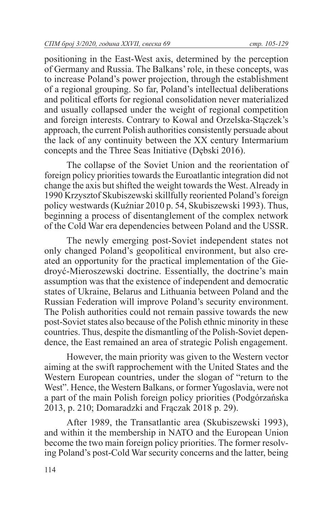positioning in the East-West axis, determined by the perception of Germany and Russia. The Balkans' role, in these concepts, was to increase Poland's power projection, through the establishment of a regional grouping. So far, Poland's intellectual deliberations and political efforts for regional consolidation never materialized and usually collapsed under the weight of regional competition and foreign interests. Contrary to Kowal and Orzelska-Stączek's approach, the current Polish authorities consistently persuade about the lack of any continuity between the XX century Intermarium concepts and the Three Seas Initiative (Dębski 2016).

The collapse of the Soviet Union and the reorientation of foreign policy priorities towards the Euroatlantic integration did not change the axis but shifted the weight towards the West. Already in 1990 Krzysztof Skubiszewski skillfully reoriented Poland's foreign policy westwards (Kuźniar 2010 p. 54, Skubiszewski 1993). Thus, beginning a process of disentanglement of the complex network of the Cold War era dependencies between Poland and the USSR.

The newly emerging post-Soviet independent states not only changed Poland's geopolitical environment, but also created an opportunity for the practical implementation of the Giedroyć-Mieroszewski doctrine. Essentially, the doctrine's main assumption was that the existence of independent and democratic states of Ukraine, Belarus and Lithuania between Poland and the Russian Federation will improve Poland's security environment. The Polish authorities could not remain passive towards the new post-Soviet states also because of the Polish ethnic minority in these countries. Thus, despite the dismantling of the Polish-Soviet dependence, the East remained an area of strategic Polish engagement.

However, the main priority was given to the Western vector aiming at the swift rapprochement with the United States and the Western European countries, under the slogan of "return to the West". Hence, the Western Balkans, or former Yugoslavia, were not a part of the main Polish foreign policy priorities (Podgórzańska 2013, p. 210; Domaradzki and Frączak 2018 p. 29).

After 1989, the Transatlantic area (Skubiszewski 1993), and within it the membership in NATO and the European Union become the two main foreign policy priorities. The former resolving Poland's post-Cold War security concerns and the latter, being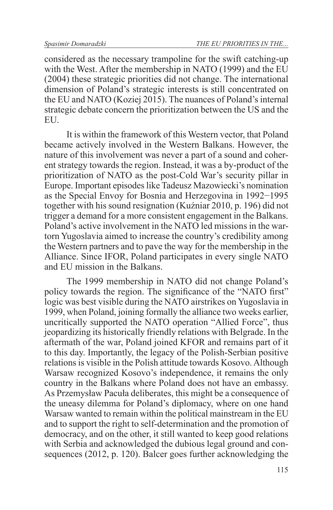considered as the necessary trampoline for the swift catching-up with the West. After the membership in NATO (1999) and the EU (2004) these strategic priorities did not change. The international dimension of Poland's strategic interests is still concentrated on the EU and NATO (Koziej 2015). The nuances of Poland's internal strategic debate concern the prioritization between the US and the EU.

It is within the framework of this Western vector, that Poland became actively involved in the Western Balkans. However, the nature of this involvement was never a part of a sound and coherent strategy towards the region. Instead, it was a by-product of the prioritization of NATO as the post-Cold War's security pillar in Europe. Important episodes like Tadeusz Mazowiecki's nomination as the Special Envoy for Bosnia and Herzegovina in 1992−1995 together with his sound resignation (Kuźniar 2010, p. 196) did not trigger a demand for a more consistent engagement in the Balkans. Poland's active involvement in the NATO led missions in the wartorn Yugoslavia aimed to increase the country's credibility among the Western partners and to pave the way for the membership in the Alliance. Since IFOR, Poland participates in every single NATO and EU mission in the Balkans.

The 1999 membership in NATO did not change Poland's policy towards the region. The significance of the "NATO first" logic was best visible during the NATO airstrikes on Yugoslavia in 1999, when Poland, joining formally the alliance two weeks earlier, uncritically supported the NATO operation "Allied Force", thus jeopardizing its historically friendly relations with Belgrade. In the aftermath of the war, Poland joined KFOR and remains part of it to this day. Importantly, the legacy of the Polish-Serbian positive relations is visible in the Polish attitude towards Kosovo. Although Warsaw recognized Kosovo's independence, it remains the only country in the Balkans where Poland does not have an embassy. As Przemysław Pacuła deliberates, this might be a consequence of the uneasy dilemma for Poland's diplomacy, where on one hand Warsaw wanted to remain within the political mainstream in the EU and to support the right to self-determination and the promotion of democracy, and on the other, it still wanted to keep good relations with Serbia and acknowledged the dubious legal ground and consequences (2012, p. 120). Balcer goes further acknowledging the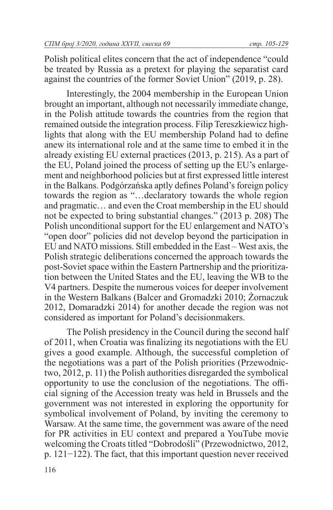Polish political elites concern that the act of independence "could be treated by Russia as a pretext for playing the separatist card against the countries of the former Soviet Union" (2019, p. 28).

Interestingly, the 2004 membership in the European Union brought an important, although not necessarily immediate change, in the Polish attitude towards the countries from the region that remained outside the integration process. Filip Tereszkiewicz highlights that along with the EU membership Poland had to define anew its international role and at the same time to embed it in the already existing EU external practices (2013, p. 215). As a part of the EU, Poland joined the process of setting up the EU's enlargement and neighborhood policies but at first expressed little interest in the Balkans. Podgórzańska aptly defines Poland's foreign policy towards the region as "…declaratory towards the whole region and pragmatic… and even the Croat membership in the EU should not be expected to bring substantial changes." (2013 p. 208) The Polish unconditional support for the EU enlargement and NATO's "open door" policies did not develop beyond the participation in EU and NATO missions. Still embedded in the East – West axis, the Polish strategic deliberations concerned the approach towards the post-Soviet space within the Eastern Partnership and the prioritization between the United States and the EU, leaving the WB to the V4 partners. Despite the numerous voices for deeper involvement in the Western Balkans (Balcer and Gromadzki 2010; Żornaczuk 2012, Domaradzki 2014) for another decade the region was not considered as important for Poland's decisionmakers.

The Polish presidency in the Council during the second half of 2011, when Croatia was finalizing its negotiations with the EU gives a good example. Although, the successful completion of the negotiations was a part of the Polish priorities (Przewodnictwo, 2012, p. 11) the Polish authorities disregarded the symbolical opportunity to use the conclusion of the negotiations. The official signing of the Accession treaty was held in Brussels and the government was not interested in exploring the opportunity for symbolical involvement of Poland, by inviting the ceremony to Warsaw. At the same time, the government was aware of the need for PR activities in EU context and prepared a YouTube movie welcoming the Croats titled "Dobrodośli" (Przewodnictwo, 2012, p. 121−122). The fact, that this important question never received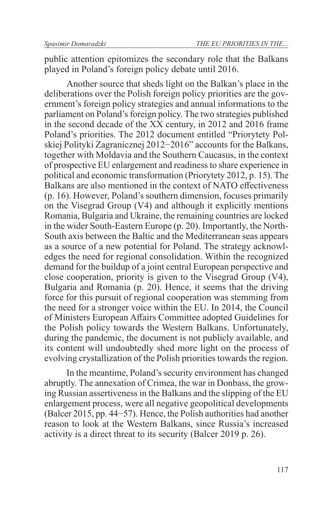public attention epitomizes the secondary role that the Balkans played in Poland's foreign policy debate until 2016.

Another source that sheds light on the Balkan's place in the deliberations over the Polish foreign policy priorities are the government's foreign policy strategies and annual informations to the parliament on Poland's foreign policy. The two strategies published in the second decade of the XX century, in 2012 and 2016 frame Poland's priorities. The 2012 document entitled "Priorytety Polskiej Polityki Zagranicznej 2012−2016" accounts for the Balkans, together with Moldavia and the Southern Caucasus, in the context of prospective EU enlargement and readiness to share experience in political and economic transformation (Priorytety 2012, p. 15). The Balkans are also mentioned in the context of NATO effectiveness (p. 16). However, Poland's southern dimension, focuses primarily on the Visegrad Group (V4) and although it explicitly mentions Romania, Bulgaria and Ukraine, the remaining countries are locked in the wider South-Eastern Europe (p. 20). Importantly, the North-South axis between the Baltic and the Mediterranean seas appears as a source of a new potential for Poland. The strategy acknowledges the need for regional consolidation. Within the recognized demand for the buildup of a joint central European perspective and close cooperation, priority is given to the Visegrad Group (V4), Bulgaria and Romania (p. 20). Hence, it seems that the driving force for this pursuit of regional cooperation was stemming from the need for a stronger voice within the EU. In 2014, the Council of Ministers European Affairs Committee adopted Guidelines for the Polish policy towards the Western Balkans. Unfortunately, during the pandemic, the document is not publicly available, and its content will undoubtedly shed more light on the process of evolving crystallization of the Polish priorities towards the region.

In the meantime, Poland's security environment has changed abruptly. The annexation of Crimea, the war in Donbass, the growing Russian assertiveness in the Balkans and the slipping of the EU enlargement process, were all negative geopolitical developments (Balcer 2015, pp. 44−57). Hence, the Polish authorities had another reason to look at the Western Balkans, since Russia's increased activity is a direct threat to its security (Balcer 2019 p. 26).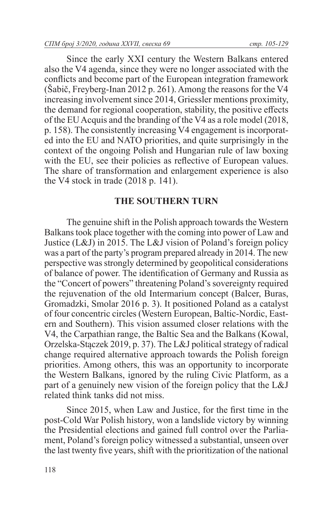Since the early XXI century the Western Balkans entered also the V4 agenda, since they were no longer associated with the conflicts and become part of the European integration framework (Šabič, Freyberg-Inan 2012 p. 261). Among the reasons for the V4 increasing involvement since 2014, Griessler mentions proximity, the demand for regional cooperation, stability, the positive effects of the EU Acquis and the branding of the V4 as a role model (2018, p. 158). The consistently increasing V4 engagement is incorporated into the EU and NATO priorities, and quite surprisingly in the context of the ongoing Polish and Hungarian rule of law boxing with the EU, see their policies as reflective of European values. The share of transformation and enlargement experience is also the V4 stock in trade (2018 p. 141).

#### **THE SOUTHERN TURN**

The genuine shift in the Polish approach towards the Western Balkans took place together with the coming into power of Law and Justice (L&J) in 2015. The L&J vision of Poland's foreign policy was a part of the party's program prepared already in 2014. The new perspective was strongly determined by geopolitical considerations of balance of power. The identification of Germany and Russia as the "Concert of powers" threatening Poland's sovereignty required the rejuvenation of the old Intermarium concept (Balcer, Buras, Gromadzki, Smolar 2016 p. 3). It positioned Poland as a catalyst of four concentric circles (Western European, Baltic-Nordic, Eastern and Southern). This vision assumed closer relations with the V4, the Carpathian range, the Baltic Sea and the Balkans (Kowal, Orzelska-Stączek 2019, p. 37). The L&J political strategy of radical change required alternative approach towards the Polish foreign priorities. Among others, this was an opportunity to incorporate the Western Balkans, ignored by the ruling Civic Platform, as a part of a genuinely new vision of the foreign policy that the L&J related think tanks did not miss.

Since 2015, when Law and Justice, for the first time in the post-Cold War Polish history, won a landslide victory by winning the Presidential elections and gained full control over the Parliament, Poland's foreign policy witnessed a substantial, unseen over the last twenty five years, shift with the prioritization of the national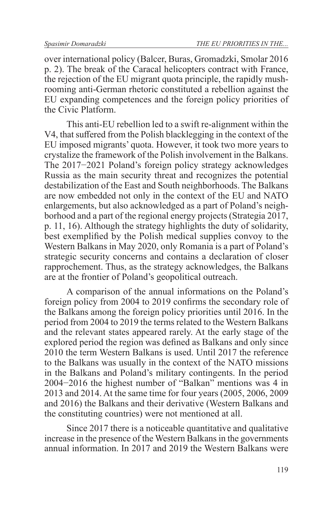over international policy (Balcer, Buras, Gromadzki, Smolar 2016 p. 2). The break of the Caracal helicopters contract with France, the rejection of the EU migrant quota principle, the rapidly mushrooming anti-German rhetoric constituted a rebellion against the EU expanding competences and the foreign policy priorities of the Civic Platform.

This anti-EU rebellion led to a swift re-alignment within the V4, that suffered from the Polish blacklegging in the context of the EU imposed migrants' quota. However, it took two more years to crystalize the framework of the Polish involvement in the Balkans. The 2017−2021 Poland's foreign policy strategy acknowledges Russia as the main security threat and recognizes the potential destabilization of the East and South neighborhoods. The Balkans are now embedded not only in the context of the EU and NATO enlargements, but also acknowledged as a part of Poland's neighborhood and a part of the regional energy projects (Strategia 2017, p. 11, 16). Although the strategy highlights the duty of solidarity, best exemplified by the Polish medical supplies convoy to the Western Balkans in May 2020, only Romania is a part of Poland's strategic security concerns and contains a declaration of closer rapprochement. Thus, as the strategy acknowledges, the Balkans are at the frontier of Poland's geopolitical outreach.

A comparison of the annual informations on the Poland's foreign policy from 2004 to 2019 confirms the secondary role of the Balkans among the foreign policy priorities until 2016. In the period from 2004 to 2019 the terms related to the Western Balkans and the relevant states appeared rarely. At the early stage of the explored period the region was defined as Balkans and only since 2010 the term Western Balkans is used. Until 2017 the reference to the Balkans was usually in the context of the NATO missions in the Balkans and Poland's military contingents. In the period 2004−2016 the highest number of "Balkan" mentions was 4 in 2013 and 2014. At the same time for four years (2005, 2006, 2009 and 2016) the Balkans and their derivative (Western Balkans and the constituting countries) were not mentioned at all.

Since 2017 there is a noticeable quantitative and qualitative increase in the presence of the Western Balkans in the governments annual information. In 2017 and 2019 the Western Balkans were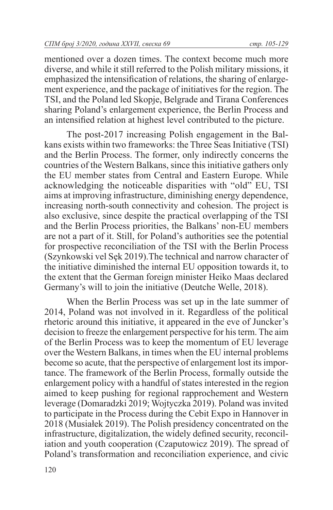mentioned over a dozen times. The context become much more diverse, and while it still referred to the Polish military missions, it emphasized the intensification of relations, the sharing of enlargement experience, and the package of initiatives for the region. The TSI, and the Poland led Skopje, Belgrade and Tirana Conferences sharing Poland's enlargement experience, the Berlin Process and an intensified relation at highest level contributed to the picture.

The post-2017 increasing Polish engagement in the Balkans exists within two frameworks: the Three Seas Initiative (TSI) and the Berlin Process. The former, only indirectly concerns the countries of the Western Balkans, since this initiative gathers only the EU member states from Central and Eastern Europe. While acknowledging the noticeable disparities with "old" EU, TSI aims at improving infrastructure, diminishing energy dependence, increasing north-south connectivity and cohesion. The project is also exclusive, since despite the practical overlapping of the TSI and the Berlin Process priorities, the Balkans' non-EU members are not a part of it. Still, for Poland's authorities see the potential for prospective reconciliation of the TSI with the Berlin Process (Szynkowski vel Sęk 2019).The technical and narrow character of the initiative diminished the internal EU opposition towards it, to the extent that the German foreign minister Heiko Maas declared Germany's will to join the initiative (Deutche Welle, 2018).

When the Berlin Process was set up in the late summer of 2014, Poland was not involved in it. Regardless of the political rhetoric around this initiative, it appeared in the eve of Juncker's decision to freeze the enlargement perspective for his term. The aim of the Berlin Process was to keep the momentum of EU leverage over the Western Balkans, in times when the EU internal problems become so acute, that the perspective of enlargement lost its importance. The framework of the Berlin Process, formally outside the enlargement policy with a handful of states interested in the region aimed to keep pushing for regional rapprochement and Western leverage (Domaradzki 2019; Wojtyczka 2019). Poland was invited to participate in the Process during the Cebit Expo in Hannover in 2018 (Musiałek 2019). The Polish presidency concentrated on the infrastructure, digitalization, the widely defined security, reconciliation and youth cooperation (Czaputowicz 2019). The spread of Poland's transformation and reconciliation experience, and civic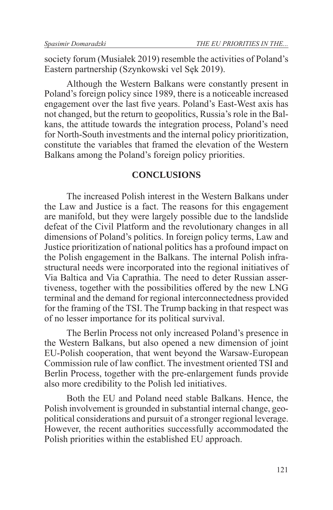society forum (Musiałek 2019) resemble the activities of Poland's Eastern partnership (Szynkowski vel Sęk 2019).

Although the Western Balkans were constantly present in Poland's foreign policy since 1989, there is a noticeable increased engagement over the last five years. Poland's East-West axis has not changed, but the return to geopolitics, Russia's role in the Balkans, the attitude towards the integration process, Poland's need for North-South investments and the internal policy prioritization, constitute the variables that framed the elevation of the Western Balkans among the Poland's foreign policy priorities.

#### **CONCLUSIONS**

The increased Polish interest in the Western Balkans under the Law and Justice is a fact. The reasons for this engagement are manifold, but they were largely possible due to the landslide defeat of the Civil Platform and the revolutionary changes in all dimensions of Poland's politics. In foreign policy terms, Law and Justice prioritization of national politics has a profound impact on the Polish engagement in the Balkans. The internal Polish infrastructural needs were incorporated into the regional initiatives of Via Baltica and Via Caprathia. The need to deter Russian assertiveness, together with the possibilities offered by the new LNG terminal and the demand for regional interconnectedness provided for the framing of the TSI. The Trump backing in that respect was of no lesser importance for its political survival.

The Berlin Process not only increased Poland's presence in the Western Balkans, but also opened a new dimension of joint EU-Polish cooperation, that went beyond the Warsaw-European Commission rule of law conflict. The investment oriented TSI and Berlin Process, together with the pre-enlargement funds provide also more credibility to the Polish led initiatives.

Both the EU and Poland need stable Balkans. Hence, the Polish involvement is grounded in substantial internal change, geopolitical considerations and pursuit of a stronger regional leverage. However, the recent authorities successfully accommodated the Polish priorities within the established EU approach.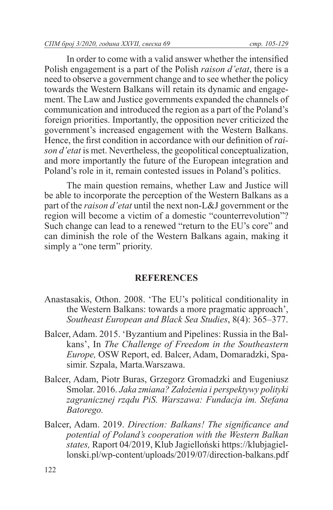In order to come with a valid answer whether the intensified Polish engagement is a part of the Polish *raison d'etat*, there is a need to observe a government change and to see whether the policy towards the Western Balkans will retain its dynamic and engagement. The Law and Justice governments expanded the channels of communication and introduced the region as a part of the Poland's foreign priorities. Importantly, the opposition never criticized the government's increased engagement with the Western Balkans. Hence, the first condition in accordance with our definition of *raison d'etat* is met. Nevertheless, the geopolitical conceptualization, and more importantly the future of the European integration and Poland's role in it, remain contested issues in Poland's politics.

The main question remains, whether Law and Justice will be able to incorporate the perception of the Western Balkans as a part of the *raison d'etat* until the next non-L&J government or the region will become a victim of a domestic "counterrevolution"? Such change can lead to a renewed "return to the EU's core" and can diminish the role of the Western Balkans again, making it simply a "one term" priority.

## **REFERENCES**

- Anastasakis, Othon. 2008. 'The EU's political conditionality in the Western Balkans: towards a more pragmatic approach', *Southeast European and Black Sea Studies*, 8(4): 365–377.
- Balcer, Adam. 2015. 'Byzantium and Pipelines: Russia in the Balkans', In *The Challenge of Freedom in the Southeastern Europe,* OSW Report, ed. Balcer, Adam, Domaradzki, Spasimir. Szpala, Marta.Warszawa.
- Balcer, Adam, Piotr Buras, Grzegorz Gromadzki and Eugeniusz Smolar. 2016. *Jaka zmiana? Założenia i perspektywy polityki zagranicznej rządu PiS. Warszawa: Fundacja im. Stefana Batorego.*
- Balcer, Adam. 2019. *Direction: Balkans! The significance and potential of Poland's cooperation with the Western Balkan states,* Raport 04/2019, Klub Jagielloński https://klubjagiellonski.pl/wp-content/uploads/2019/07/direction-balkans.pdf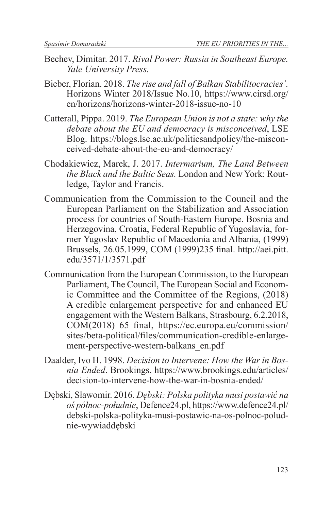- Bechev, Dimitar. 2017. *Rival Power: Russia in Southeast Europe. Yale University Press.*
- Bieber, Florian. 2018. *The rise and fall of Balkan Stabilitocracies'.*  Horizons Winter 2018/Issue No.10, https://www.cirsd.org/ en/horizons/horizons-winter-2018-issue-no-10
- Catterall, Pippa. 2019. *The European Union is not a state: why the debate about the EU and democracy is misconceived*, LSE Blog. https://blogs.lse.ac.uk/politicsandpolicy/the-misconceived-debate-about-the-eu-and-democracy/
- Chodakiewicz, Marek, J. 2017. *Intermarium, The Land Between the Black and the Baltic Seas.* London and New York: Routledge, Taylor and Francis.
- Communication from the Commission to the Council and the European Parliament on the Stabilization and Association process for countries of South-Eastern Europe. Bosnia and Herzegovina, Croatia, Federal Republic of Yugoslavia, former Yugoslav Republic of Macedonia and Albania, (1999) Brussels, 26.05.1999, COM (1999)235 final. http://aei.pitt. edu/3571/1/3571.pdf
- Communication from the European Commission, to the European Parliament, The Council, The European Social and Economic Committee and the Committee of the Regions, (2018) A credible enlargement perspective for and enhanced EU engagement with the Western Balkans, Strasbourg, 6.2.2018, COM(2018) 65 final, https://ec.europa.eu/commission/ sites/beta-political/files/communication-credible-enlargement-perspective-western-balkans\_en.pdf
- Daalder, Ivo H. 1998. *Decision to Intervene: How the War in Bosnia Ended*. Brookings, https://www.brookings.edu/articles/ decision-to-intervene-how-the-war-in-bosnia-ended/
- Dębski, Sławomir. 2016. *Dębski: Polska polityka musi postawić na oś północ-południe*, Defence24.pl, https://www.defence24.pl/ debski-polska-polityka-musi-postawic-na-os-polnoc-poludnie-wywiaddębski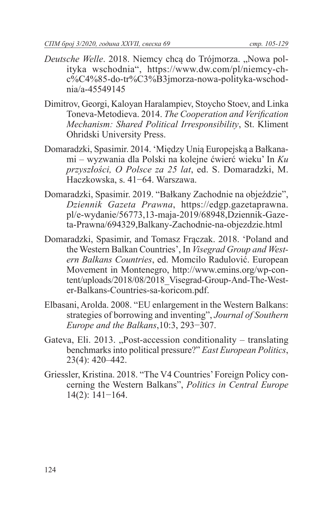- *Deutsche Welle.* 2018. Niemcy chcą do Trójmorza. "Nowa polityka wschodnia", https://www.dw.com/pl/niemcy-chc%C4%85-do-tr%C3%B3jmorza-nowa-polityka-wschodnia/a-45549145
- Dimitrov, Georgi, Kaloyan Haralampiev, Stoycho Stoev, and Linka Toneva-Metodieva. 2014. *The Cooperation and Verification Mechanism: Shared Political Irresponsibility*, St. Kliment Ohridski University Press.
- Domaradzki, Spasimir. 2014. 'Między Unią Europejską a Bałkanami – wyzwania dla Polski na kolejne ćwierć wieku' In *Ku przyszłości, O Polsce za 25 lat*, ed. S. Domaradzki, M. Haczkowska, s. 41−64. Warszawa.
- Domaradzki, Spasimir. 2019. "Bałkany Zachodnie na objeździe", *Dziennik Gazeta Prawna*, https://edgp.gazetaprawna. pl/e-wydanie/56773,13-maja-2019/68948,Dziennik-Gazeta-Prawna/694329,Balkany-Zachodnie-na-objezdzie.html
- Domaradzki, Spasimir, and Tomasz Frączak. 2018. 'Poland and the Western Balkan Countries', In *Visegrad Group and Western Balkans Countries*, ed. Momcilo Radulović. European Movement in Montenegro, http://www.emins.org/wp-content/uploads/2018/08/2018\_Visegrad-Group-And-The-Wester-Balkans-Countries-sa-koricom.pdf.
- Elbasani, Arolda. 2008. "EU enlargement in the Western Balkans: strategies of borrowing and inventing", *Journal of Southern Europe and the Balkans*,10:3, 293−307.
- Gateva, Eli. 2013. "Post-accession conditionality translating benchmarks into political pressure?" *East European Politics*, 23(4): 420–442.
- Griessler, Kristina. 2018. "The V4 Countries' Foreign Policy concerning the Western Balkans", *Politics in Central Europe* 14(2): 141−164.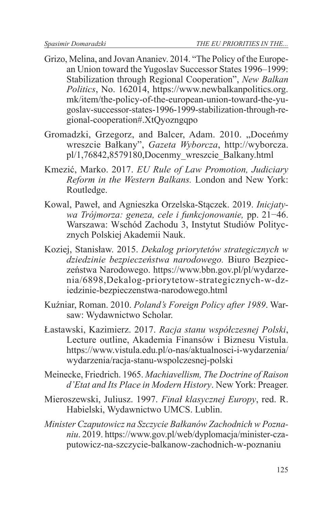- Grizo, Melina, and Jovan Ananiev. 2014. "The Policy of the European Union toward the Yugoslav Successor States 1996–1999: Stabilization through Regional Cooperation", *New Balkan Politics*, No. 162014, https://www.newbalkanpolitics.org. mk/item/the-policy-of-the-european-union-toward-the-yugoslav-successor-states-1996-1999-stabilization-through-regional-cooperation#.XtQyozngqpo
- Gromadzki, Grzegorz, and Balcer, Adam. 2010. "Doceńmy wreszcie Bałkany", *Gazeta Wyborcza*, http://wyborcza. pl/1,76842,8579180,Docenmy\_wreszcie\_Balkany.html
- Kmezić, Marko. 2017. *EU Rule of Law Promotion, Judiciary Reform in the Western Balkans.* London and New York: Routledge.
- Kowal, Paweł, and Agnieszka Orzelska-Stączek. 2019. *Inicjatywa Trójmorza: geneza, cele i funkcjonowanie,* pp. 21−46. Warszawa: Wschód Zachodu 3, Instytut Studiów Politycznych Polskiej Akademii Nauk.
- Koziej, Stanisław. 2015. *Dekalog priorytetów strategicznych w dziedzinie bezpieczeństwa narodowego.* Biuro Bezpieczeństwa Narodowego. https://www.bbn.gov.pl/pl/wydarzenia/6898,Dekalog-priorytetow-strategicznych-w-dziedzinie-bezpieczenstwa-narodowego.html
- Kuźniar, Roman. 2010. *Poland's Foreign Policy after 1989*. Warsaw: Wydawnictwo Scholar.
- Łastawski, Kazimierz. 2017. *Racja stanu współczesnej Polski*, Lecture outline, Akademia Finansów i Biznesu Vistula. https://www.vistula.edu.pl/o-nas/aktualnosci-i-wydarzenia/ wydarzenia/racja-stanu-wspolczesnej-polski
- Meinecke, Friedrich. 1965. *Machiavellism, The Doctrine of Raison d'Etat and Its Place in Modern History*. New York: Preager.
- Mieroszewski, Juliusz. 1997. *Finał klasycznej Europy*, red. R. Habielski, Wydawnictwo UMCS. Lublin.
- *Minister Czaputowicz na Szczycie Bałkanów Zachodnich w Poznaniu*. 2019. https://www.gov.pl/web/dyplomacja/minister-czaputowicz-na-szczycie-balkanow-zachodnich-w-poznaniu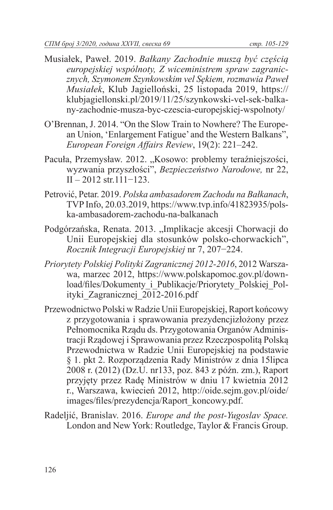- Musiałek, Paweł. 2019. *Bałkany Zachodnie muszą być częścią europejskiej wspólnoty, Z wiceministrem spraw zagranicznych, Szymonem Szynkowskim vel Sękiem, rozmawia Paweł Musiałek*, Klub Jagielloński, 25 listopada 2019, https:// klubjagiellonski.pl/2019/11/25/szynkowski-vel-sek-balkany-zachodnie-musza-byc-czescia-europejskiej-wspolnoty/
- O'Brennan, J. 2014. "On the Slow Train to Nowhere? The European Union, 'Enlargement Fatigue' and the Western Balkans", *European Foreign Affairs Review*, 19(2): 221–242.
- Pacuła, Przemysław. 2012. "Kosowo: problemy teraźniejszości, wyzwania przyszłości", *Bezpieczeństwo Narodowe,* nr 22, II – 2012 str.111−123.
- Petrović, Petar. 2019. *Polska ambasadorem Zachodu na Bałkanach*, TVP Info, 20.03.2019, https://www.tvp.info/41823935/polska-ambasadorem-zachodu-na-balkanach
- Podgórzańska, Renata. 2013. "Implikacje akcesji Chorwacji do Unii Europejskiej dla stosunków polsko-chorwackich", *Rocznik Integracji Europejskiej* nr 7, 207−224.
- *Priorytety Polskiej Polityki Zagranicznej 2012-2016*, 2012 Warszawa, marzec 2012, https://www.polskapomoc.gov.pl/download/files/Dokumenty\_i\_Publikacje/Priorytety\_Polskiej\_Polityki\_Zagranicznej\_2012-2016.pdf
- Przewodnictwo Polski w Radzie Unii Europejskiej, Raport końcowy z przygotowania i sprawowania prezydencjizłożony przez Pełnomocnika Rządu ds. Przygotowania Organów Administracji Rządowej i Sprawowania przez Rzeczpospolitą Polską Przewodnictwa w Radzie Unii Europejskiej na podstawie § 1. pkt 2. Rozporządzenia Rady Ministrów z dnia 15lipca 2008 r. (2012) (Dz.U. nr133, poz. 843 z późn. zm.), Raport przyjęty przez Radę Ministrów w dniu 17 kwietnia 2012 r., Warszawa, kwiecień 2012, http://oide.sejm.gov.pl/oide/ images/files/prezydencja/Raport\_koncowy.pdf.
- Radeljić, Branislav. 2016. *Europe and the post-Yugoslav Space.* London and New York: Routledge, Taylor & Francis Group.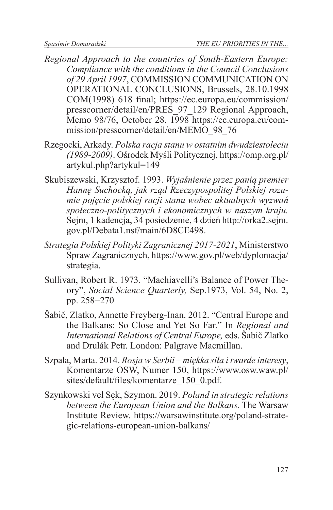- *Regional Approach to the countries of South-Eastern Europe: Compliance with the conditions in the Council Conclusions of 29 April 1997*, COMMISSION COMMUNICATION ON OPERATIONAL CONCLUSIONS, Brussels, 28.10.1998 COM(1998) 618 final; https://ec.europa.eu/commission/ presscorner/detail/en/PRES\_97\_129 Regional Approach, Memo 98/76, October 28, 1998 https://ec.europa.eu/commission/presscorner/detail/en/MEMO\_98\_76
- Rzegocki, Arkady. *Polska racja stanu w ostatnim dwudziestoleciu (1989-2009)*. Ośrodek Myśli Politycznej, https://omp.org.pl/ artykul.php?artykul=149
- Skubiszewski, Krzysztof. 1993. *Wyjaśnienie przez panią premier Hannę Suchocką, jak rząd Rzeczypospolitej Polskiej rozumie pojęcie polskiej racji stanu wobec aktualnych wyzwań społeczno-politycznych i ekonomicznych w naszym kraju.* Sejm, 1 kadencja, 34 posiedzenie, 4 dzień http://orka2.sejm. gov.pl/Debata1.nsf/main/6D8CE498.
- *Strategia Polskiej Polityki Zagranicznej 2017-2021*, Ministerstwo Spraw Zagranicznych, https://www.gov.pl/web/dyplomacja/ strategia.
- Sullivan, Robert R. 1973. "Machiavelli's Balance of Power Theory", *Social Science Quarterly,* Sep.1973, Vol. 54, No. 2, pp. 258−270
- Šabič, Zlatko, Annette Freyberg-Inan. 2012. "Central Europe and the Balkans: So Close and Yet So Far." In *Regional and International Relations of Central Europe,* eds. Šabič Zlatko and Drulák Petr. London: Palgrave Macmillan.
- Szpala, Marta. 2014. *Rosja w Serbii miękka siła i twarde interesy*, Komentarze OSW, Numer 150, https://www.osw.waw.pl/ sites/default/files/komentarze\_150\_0.pdf.
- Szynkowski vel Sęk, Szymon. 2019. *Poland in strategic relations between the European Union and the Balkans*. The Warsaw Institute Review. https://warsawinstitute.org/poland-strategic-relations-european-union-balkans/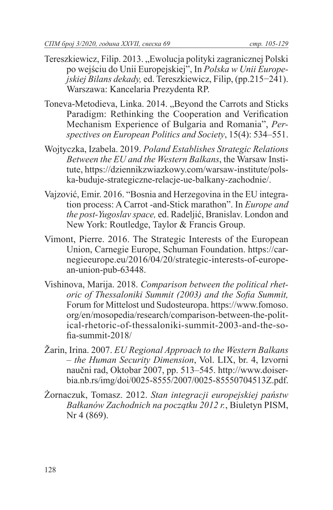- Tereszkiewicz, Filip. 2013. "Ewolucja polityki zagranicznej Polski po wejściu do Unii Europejskiej", In *Polska w Unii Europejskiej Bilans dekady,* ed. Tereszkiewicz, Filip, (pp.215−241). Warszawa: Kancelaria Prezydenta RP.
- Toneva-Metodieva, Linka. 2014. "Beyond the Carrots and Sticks Paradigm: Rethinking the Cooperation and Verification Mechanism Experience of Bulgaria and Romania", *Perspectives on European Politics and Society*, 15(4): 534–551.
- Wojtyczka, Izabela. 2019. *Poland Establishes Strategic Relations Between the EU and the Western Balkans*, the Warsaw Institute, https://dziennikzwiazkowy.com/warsaw-institute/polska-buduje-strategiczne-relacje-ue-balkany-zachodnie/.
- Vajzović, Emir. 2016. "Bosnia and Herzegovina in the EU integration process: A Carrot -and-Stick marathon". In *Europe and the post-Yugoslav space,* ed. Radeljić, Branislav. London and New York: Routledge, Taylor & Francis Group.
- Vimont, Pierre. 2016. The Strategic Interests of the European Union, Carnegie Europe, Schuman Foundation. https://carnegieeurope.eu/2016/04/20/strategic-interests-of-european-union-pub-63448.
- Vishinova, Marija. 2018. *Comparison between the political rhetoric of Thessaloniki Summit (2003) and the Sofia Summit,*  Forum for Mittelost und Sudosteuropa. https://www.fomoso. org/en/mosopedia/research/comparison-between-the-political-rhetoric-of-thessaloniki-summit-2003-and-the-sofia-summit-2018/
- Žarin, Irina. 2007. *EU Regional Approach to the Western Balkans – the Human Security Dimension*, Vol. LIX, br. 4, Izvorni naučni rad, Oktobar 2007, pp. 513–545. http://www.doiserbia.nb.rs/img/doi/0025-8555/2007/0025-85550704513Z.pdf.
- Żornaczuk, Tomasz. 2012. *Stan integracji europejskiej państw Bałkanów Zachodnich na początku 2012 r.*, Biuletyn PISM, Nr 4 (869).